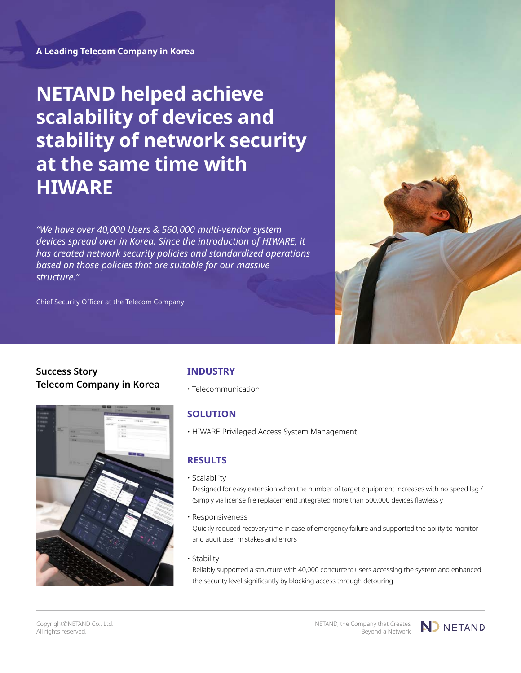**A Leading Telecom Company in Korea**

**NETAND helped achieve scalability of devices and stability of network security at the same time with HIWARE**

*"We have over 40,000 Users & 560,000 multi-vendor system devices spread over in Korea. Since the introduction of HIWARE, it has created network security policies and standardized operations based on those policies that are suitable for our massive structure."*

Chief Security Officer at the Telecom Company





# **SOLUTION**

• HIWARE Privileged Access System Management

# **RESULTS**

• Scalability

Designed for easy extension when the number of target equipment increases with no speed lag / (Simply via license file replacement) Integrated more than 500,000 devices flawlessly

• Responsiveness

Quickly reduced recovery time in case of emergency failure and supported the ability to monitor and audit user mistakes and errors

• Stability

Reliably supported a structure with 40,000 concurrent users accessing the system and enhanced the security level significantly by blocking access through detouring